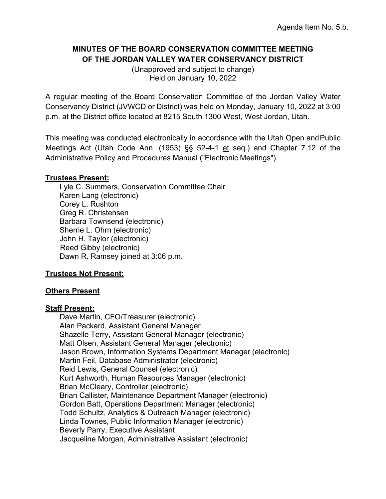# **MINUTES OF THE BOARD CONSERVATION COMMITTEE MEETING OF THE JORDAN VALLEY WATER CONSERVANCY DISTRICT**

(Unapproved and subject to change) Held on January 10, 2022

A regular meeting of the Board Conservation Committee of the Jordan Valley Water Conservancy District (JVWCD or District) was held on Monday, January 10, 2022 at 3:00 p.m. at the District office located at 8215 South 1300 West, West Jordan, Utah.

This meeting was conducted electronically in accordance with the Utah Open andPublic Meetings Act (Utah Code Ann. (1953) §§ 52-4-1 et seq.) and Chapter 7.12 of the Administrative Policy and Procedures Manual ("Electronic Meetings").

### **Trustees Present:**

Lyle C. Summers, Conservation Committee Chair Karen Lang (electronic) Corey L. Rushton Greg R. Christensen Barbara Townsend (electronic) Sherrie L. Ohrn (electronic) John H. Taylor (electronic) Reed Gibby (electronic) Dawn R. Ramsey joined at 3:06 p.m.

# **Trustees Not Present:**

# **Others Present**

# **Staff Present:**

Dave Martin, CFO/Treasurer (electronic) Alan Packard, Assistant General Manager Shazelle Terry, Assistant General Manager (electronic) Matt Olsen, Assistant General Manager (electronic) Jason Brown, Information Systems Department Manager (electronic) Martin Feil, Database Administrator (electronic) Reid Lewis, General Counsel (electronic) Kurt Ashworth, Human Resources Manager (electronic) Brian McCleary, Controller (electronic) Brian Callister, Maintenance Department Manager (electronic) Gordon Batt, Operations Department Manager (electronic) Todd Schultz, Analytics & Outreach Manager (electronic) Linda Townes, Public Information Manager (electronic) Beverly Parry, Executive Assistant Jacqueline Morgan, Administrative Assistant (electronic)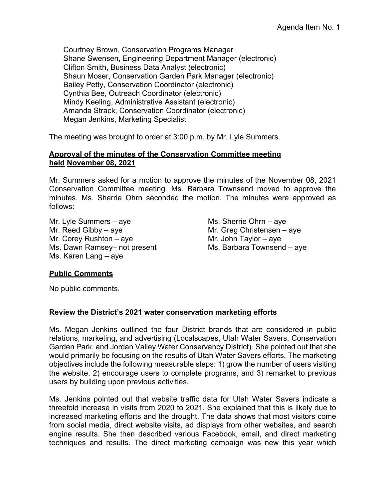Courtney Brown, Conservation Programs Manager Shane Swensen, Engineering Department Manager (electronic) Clifton Smith, Business Data Analyst (electronic) Shaun Moser, Conservation Garden Park Manager (electronic) Bailey Petty, Conservation Coordinator (electronic) Cynthia Bee, Outreach Coordinator (electronic) Mindy Keeling, Administrative Assistant (electronic) Amanda Strack, Conservation Coordinator (electronic) Megan Jenkins, Marketing Specialist

The meeting was brought to order at 3:00 p.m. by Mr. Lyle Summers.

#### **Approval of the minutes of the Conservation Committee meeting held November 08, 2021**

Mr. Summers asked for a motion to approve the minutes of the November 08, 2021 Conservation Committee meeting. Ms. Barbara Townsend moved to approve the minutes. Ms. Sherrie Ohrn seconded the motion. The minutes were approved as follows:

Mr. Lyle Summers – aye  $MS$ . Sherrie Ohrn – aye Mr. Reed Gibby – aye  $Mr$ . Greg Christensen – aye Mr. Corey Rushton – aye  $Mr.$  John Taylor – aye Ms. Dawn Ramsey- not present Ms. Barbara Townsend - aye Ms. Karen Lang – aye

# **Public Comments**

No public comments.

#### **Review the District's 2021 water conservation marketing efforts**

Ms. Megan Jenkins outlined the four District brands that are considered in public relations, marketing, and advertising (Localscapes, Utah Water Savers, Conservation Garden Park, and Jordan Valley Water Conservancy District). She pointed out that she would primarily be focusing on the results of Utah Water Savers efforts. The marketing objectives include the following measurable steps: 1) grow the number of users visiting the website, 2) encourage users to complete programs, and 3) remarket to previous users by building upon previous activities.

Ms. Jenkins pointed out that website traffic data for Utah Water Savers indicate a threefold increase in visits from 2020 to 2021. She explained that this is likely due to increased marketing efforts and the drought. The data shows that most visitors come from social media, direct website visits, ad displays from other websites, and search engine results. She then described various Facebook, email, and direct marketing techniques and results. The direct marketing campaign was new this year which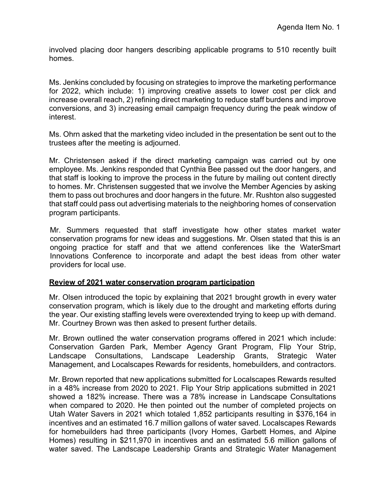involved placing door hangers describing applicable programs to 510 recently built homes.

Ms. Jenkins concluded by focusing on strategies to improve the marketing performance for 2022, which include: 1) improving creative assets to lower cost per click and increase overall reach, 2) refining direct marketing to reduce staff burdens and improve conversions, and 3) increasing email campaign frequency during the peak window of interest.

Ms. Ohrn asked that the marketing video included in the presentation be sent out to the trustees after the meeting is adjourned.

Mr. Christensen asked if the direct marketing campaign was carried out by one employee. Ms. Jenkins responded that Cynthia Bee passed out the door hangers, and that staff is looking to improve the process in the future by mailing out content directly to homes. Mr. Christensen suggested that we involve the Member Agencies by asking them to pass out brochures and door hangers in the future. Mr. Rushton also suggested that staff could pass out advertising materials to the neighboring homes of conservation program participants.

Mr. Summers requested that staff investigate how other states market water conservation programs for new ideas and suggestions. Mr. Olsen stated that this is an ongoing practice for staff and that we attend conferences like the WaterSmart Innovations Conference to incorporate and adapt the best ideas from other water providers for local use.

#### **Review of 2021 water conservation program participation**

Mr. Olsen introduced the topic by explaining that 2021 brought growth in every water conservation program, which is likely due to the drought and marketing efforts during the year. Our existing staffing levels were overextended trying to keep up with demand. Mr. Courtney Brown was then asked to present further details.

Mr. Brown outlined the water conservation programs offered in 2021 which include: Conservation Garden Park, Member Agency Grant Program, Flip Your Strip, Landscape Consultations, Landscape Leadership Grants, Strategic Water Management, and Localscapes Rewards for residents, homebuilders, and contractors.

Mr. Brown reported that new applications submitted for Localscapes Rewards resulted in a 48% increase from 2020 to 2021. Flip Your Strip applications submitted in 2021 showed a 182% increase. There was a 78% increase in Landscape Consultations when compared to 2020. He then pointed out the number of completed projects on Utah Water Savers in 2021 which totaled 1,852 participants resulting in \$376,164 in incentives and an estimated 16.7 million gallons of water saved. Localscapes Rewards for homebuilders had three participants (Ivory Homes, Garbett Homes, and Alpine Homes) resulting in \$211,970 in incentives and an estimated 5.6 million gallons of water saved. The Landscape Leadership Grants and Strategic Water Management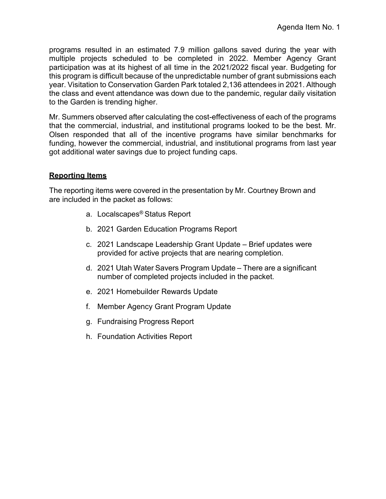programs resulted in an estimated 7.9 million gallons saved during the year with multiple projects scheduled to be completed in 2022. Member Agency Grant participation was at its highest of all time in the 2021/2022 fiscal year. Budgeting for this program is difficult because of the unpredictable number of grant submissions each year. Visitation to Conservation Garden Park totaled 2,136 attendees in 2021. Although the class and event attendance was down due to the pandemic, regular daily visitation to the Garden is trending higher.

Mr. Summers observed after calculating the cost-effectiveness of each of the programs that the commercial, industrial, and institutional programs looked to be the best. Mr. Olsen responded that all of the incentive programs have similar benchmarks for funding, however the commercial, industrial, and institutional programs from last year got additional water savings due to project funding caps.

#### **Reporting Items**

The reporting items were covered in the presentation by Mr. Courtney Brown and are included in the packet as follows:

- a. Localscapes® Status Report
- b. 2021 Garden Education Programs Report
- c. 2021 Landscape Leadership Grant Update Brief updates were provided for active projects that are nearing completion.
- d. 2021 Utah Water Savers Program Update There are a significant number of completed projects included in the packet.
- e. 2021 Homebuilder Rewards Update
- f. Member Agency Grant Program Update
- g. Fundraising Progress Report
- h. Foundation Activities Report